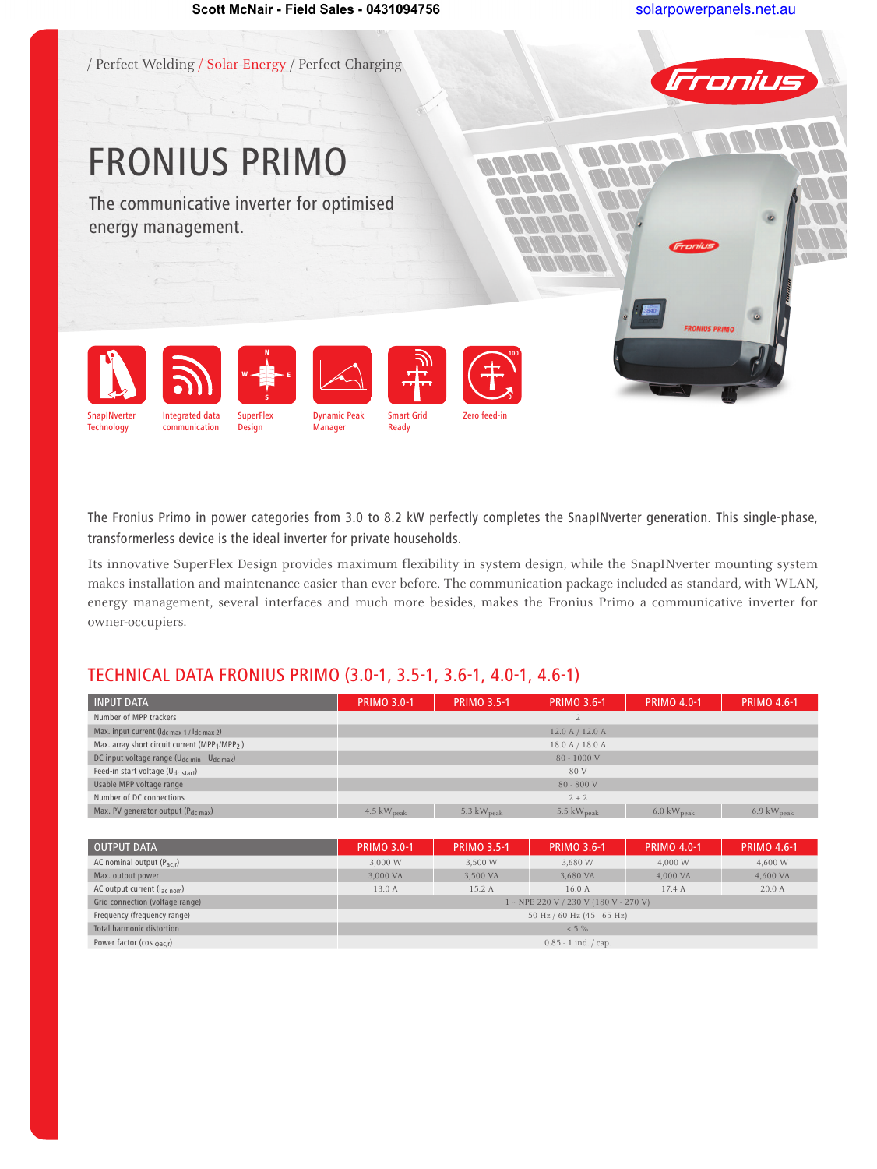

The Fronius Primo in power categories from 3.0 to 8.2 kW perfectly completes the SnapINverter generation. This single-phase, transformerless device is the ideal inverter for private households.

Its innovative SuperFlex Design provides maximum flexibility in system design, while the SnapINverter mounting system makes installation and maintenance easier than ever before. The communication package included as standard, with WLAN, energy management, several interfaces and much more besides, makes the Fronius Primo a communicative inverter for owner-occupiers.

## TECHNICAL DATA FRONIUS PRIMO (3.0-1, 3.5-1, 3.6-1, 4.0-1, 4.6-1)

| <b>INPUT DATA</b>                                      | <b>PRIMO 3.0-1</b>             | <b>PRIMO 3.5-1</b> | <b>PRIMO 3.6-1</b> | <b>PRIMO 4.0-1</b>             | <b>PRIMO 4.6-1</b>             |  |
|--------------------------------------------------------|--------------------------------|--------------------|--------------------|--------------------------------|--------------------------------|--|
| Number of MPP trackers                                 |                                |                    |                    |                                |                                |  |
| Max. input current $(l_{dc max 1 / l_{dc max 2}})$     |                                | 12.0 A / 12.0 A    |                    |                                |                                |  |
| Max. array short circuit current (MPP1/MPP2)           |                                |                    | 18.0 A / 18.0 A    |                                |                                |  |
| DC input voltage range ( $U_{dc,min}$ - $U_{dc,max}$ ) |                                |                    | $80 - 1000$ V      |                                |                                |  |
| Feed-in start voltage ( $U_{dc\ start}$ )              |                                |                    | 80 V               |                                |                                |  |
| Usable MPP voltage range                               |                                |                    | $80 - 800$ V       |                                |                                |  |
| Number of DC connections                               |                                |                    | $2 + 2$            |                                |                                |  |
| Max. PV generator output (Pdc max)                     | $4.5 \text{ kW}_{\text{peak}}$ | 5.3 $kWpeak$       | 5.5 $kWpeak$       | $6.0 \text{ kW}_{\text{peak}}$ | $6.9 \text{ kW}_{\text{peak}}$ |  |

| <b>OUTPUT DATA</b>                    | <b>PRIMO 3.0-1</b> | <b>PRIMO 3.5-1</b> | <b>PRIMO 3.6-1</b>                    | <b>PRIMO 4.0-1</b> | <b>PRIMO 4.6-1</b> |
|---------------------------------------|--------------------|--------------------|---------------------------------------|--------------------|--------------------|
| AC nominal output $(P_{ac,r})$        | 3.000 W            | 3,500 W            | 3,680 W                               | 4,000 W            | 4,600 W            |
| Max. output power                     | 3.000 VA           | 3.500 VA           | 3,680 VA                              | 4.000 VA           | 4,600 VA           |
| AC output current $(l_{ac\ nom})$     | 13.0 A             | 15.2 A             | 16.0A                                 | 17.4 A             | 20.0A              |
| Grid connection (voltage range)       |                    |                    | 1 - NPE 220 V / 230 V (180 V - 270 V) |                    |                    |
| Frequency (frequency range)           |                    |                    | 50 Hz / 60 Hz (45 - 65 Hz)            |                    |                    |
| Total harmonic distortion             |                    |                    | $< 5 \%$                              |                    |                    |
| Power factor (cos $_{\text{dac,r}}$ ) |                    |                    | $0.85 - 1$ ind. $\frac{1}{2}$ cap.    |                    |                    |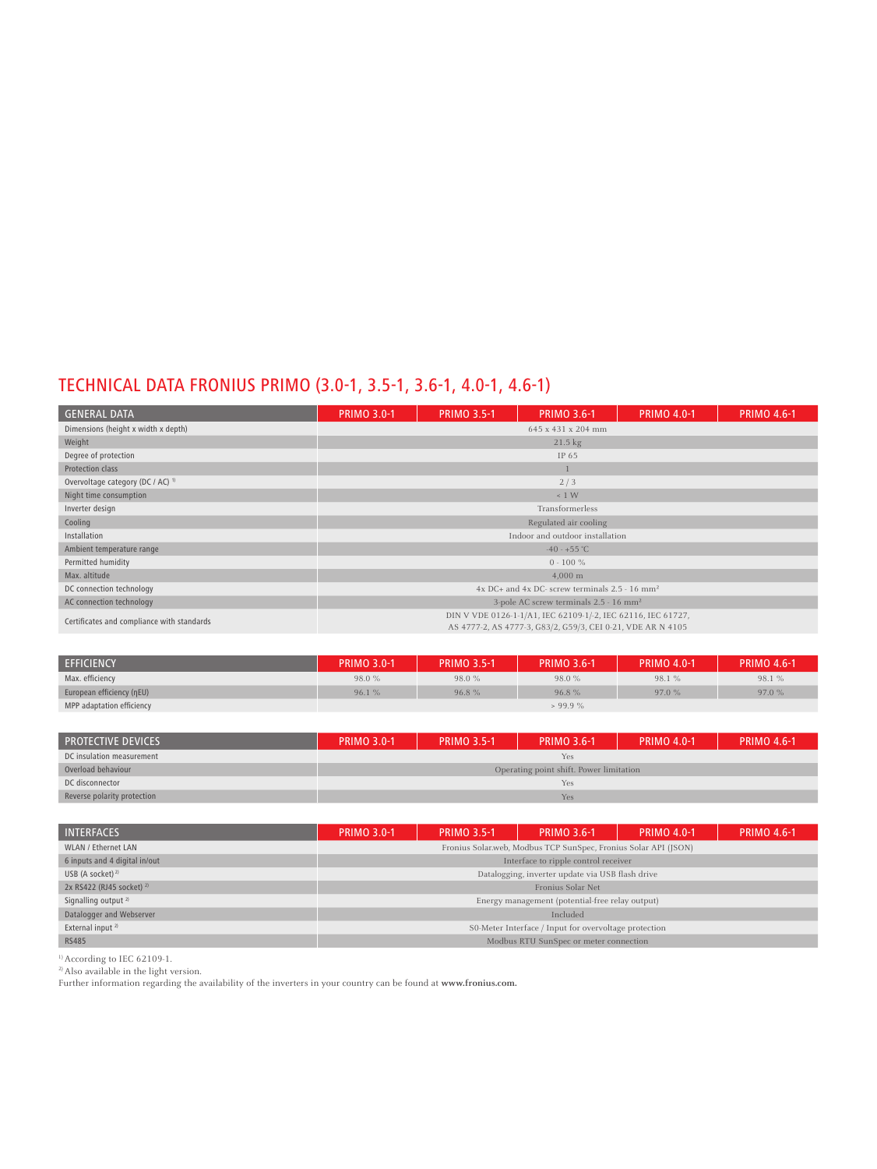# TECHNICAL DATA FRONIUS PRIMO (3.0-1, 3.5-1, 3.6-1, 4.0-1, 4.6-1)

| <b>GENERAL DATA</b>                          | <b>PRIMO 3.0-1</b> | <b>PRIMO 3.5-1</b> | <b>PRIMO 3.6-1</b>                                               | <b>PRIMO 4.0-1</b> | <b>PRIMO 4.6-1</b> |  |  |
|----------------------------------------------|--------------------|--------------------|------------------------------------------------------------------|--------------------|--------------------|--|--|
| Dimensions (height x width x depth)          | 645 x 431 x 204 mm |                    |                                                                  |                    |                    |  |  |
| Weight                                       |                    |                    | $21.5 \text{ kg}$                                                |                    |                    |  |  |
| Degree of protection                         |                    |                    | IP 65                                                            |                    |                    |  |  |
| <b>Protection class</b>                      |                    |                    |                                                                  |                    |                    |  |  |
| Overvoltage category (DC / AC) <sup>1)</sup> |                    |                    | 2/3                                                              |                    |                    |  |  |
| Night time consumption                       |                    |                    | $\leq 1$ W                                                       |                    |                    |  |  |
| Inverter design                              |                    |                    | Transformerless                                                  |                    |                    |  |  |
| Cooling                                      |                    |                    | Regulated air cooling                                            |                    |                    |  |  |
| Installation                                 |                    |                    | Indoor and outdoor installation                                  |                    |                    |  |  |
| Ambient temperature range                    |                    |                    | $-40 - +55$ °C                                                   |                    |                    |  |  |
| Permitted humidity                           |                    |                    | $0 - 100 \%$                                                     |                    |                    |  |  |
| Max. altitude                                |                    |                    | $4,000 \; \mathrm{m}$                                            |                    |                    |  |  |
| DC connection technology                     |                    |                    | $4x$ DC+ and $4x$ DC- screw terminals $2.5 - 16$ mm <sup>2</sup> |                    |                    |  |  |
| AC connection technology                     |                    |                    | 3-pole AC screw terminals 2.5 - 16 mm <sup>2</sup>               |                    |                    |  |  |
| Certificates and compliance with standards   |                    |                    | DIN V VDE 0126-1-1/A1, IEC 62109-1/-2, IEC 62116, IEC 61727,     |                    |                    |  |  |
|                                              |                    |                    | AS 4777-2, AS 4777-3, G83/2, G59/3, CEI 0-21, VDE AR N 4105      |                    |                    |  |  |

| <b>EFFICIENCY</b>         | <b>PRIMO 3.0-1</b> | <b>PRIMO 3.5-1</b> | <b>PRIMO 3.6-1</b> | <b>PRIMO 4.0-1</b> | <b>PRIMO 4.6-1</b> |
|---------------------------|--------------------|--------------------|--------------------|--------------------|--------------------|
| Max. efficiency           | 98.0%              | 98.0%              | 98.0%              | 98.1 %             | 98.1 %             |
| European efficiency (nEU) | 96.1%              | 96.8%              | 96.8%              | 97.0 %             | 97.0%              |
| MPP adaptation efficiency |                    |                    | > 99.9%            |                    |                    |

| <b>PROTECTIVE DEVICES</b>   | <b>PRIMO 3.0-1</b> | <b>PRIMO 3.5-1</b> | <b>PRIMO 3.6-1</b>                      | <b>PRIMO 4.0-1</b> | <b>PRIMO 4.6-1</b> |  |
|-----------------------------|--------------------|--------------------|-----------------------------------------|--------------------|--------------------|--|
| DC insulation measurement   | Yes                |                    |                                         |                    |                    |  |
| Overload behaviour          |                    |                    | Operating point shift. Power limitation |                    |                    |  |
| DC disconnector             |                    |                    | Yes                                     |                    |                    |  |
| Reverse polarity protection |                    |                    | Yes                                     |                    |                    |  |

| <b>INTERFACES</b>                    | <b>PRIMO 3.0-1</b>                   | <b>PRIMO 3.5-1</b> | <b>PRIMO 3.6-1</b>                                              | <b>PRIMO 4.0-1</b> | <b>PRIMO 4.6-1</b> |  |
|--------------------------------------|--------------------------------------|--------------------|-----------------------------------------------------------------|--------------------|--------------------|--|
| <b>WLAN / Ethernet LAN</b>           |                                      |                    | Fronius Solar.web, Modbus TCP SunSpec, Fronius Solar API (JSON) |                    |                    |  |
| 6 inputs and 4 digital in/out        | Interface to ripple control receiver |                    |                                                                 |                    |                    |  |
| USB (A socket) $^{2}$                |                                      |                    | Datalogging, inverter update via USB flash drive                |                    |                    |  |
| 2x RS422 (RJ45 socket) <sup>2)</sup> |                                      |                    | Fronius Solar Net                                               |                    |                    |  |
| Signalling output <sup>2)</sup>      |                                      |                    | Energy management (potential-free relay output)                 |                    |                    |  |
| Datalogger and Webserver             |                                      |                    | Included                                                        |                    |                    |  |
| External input <sup>2)</sup>         |                                      |                    | S0-Meter Interface / Input for overvoltage protection           |                    |                    |  |
| <b>RS485</b>                         |                                      |                    | Modbus RTU SunSpec or meter connection                          |                    |                    |  |

1) According to IEC 62109-1.

2) Also available in the light version.

Further information regarding the availability of the inverters in your country can be found at **www.fronius.com.**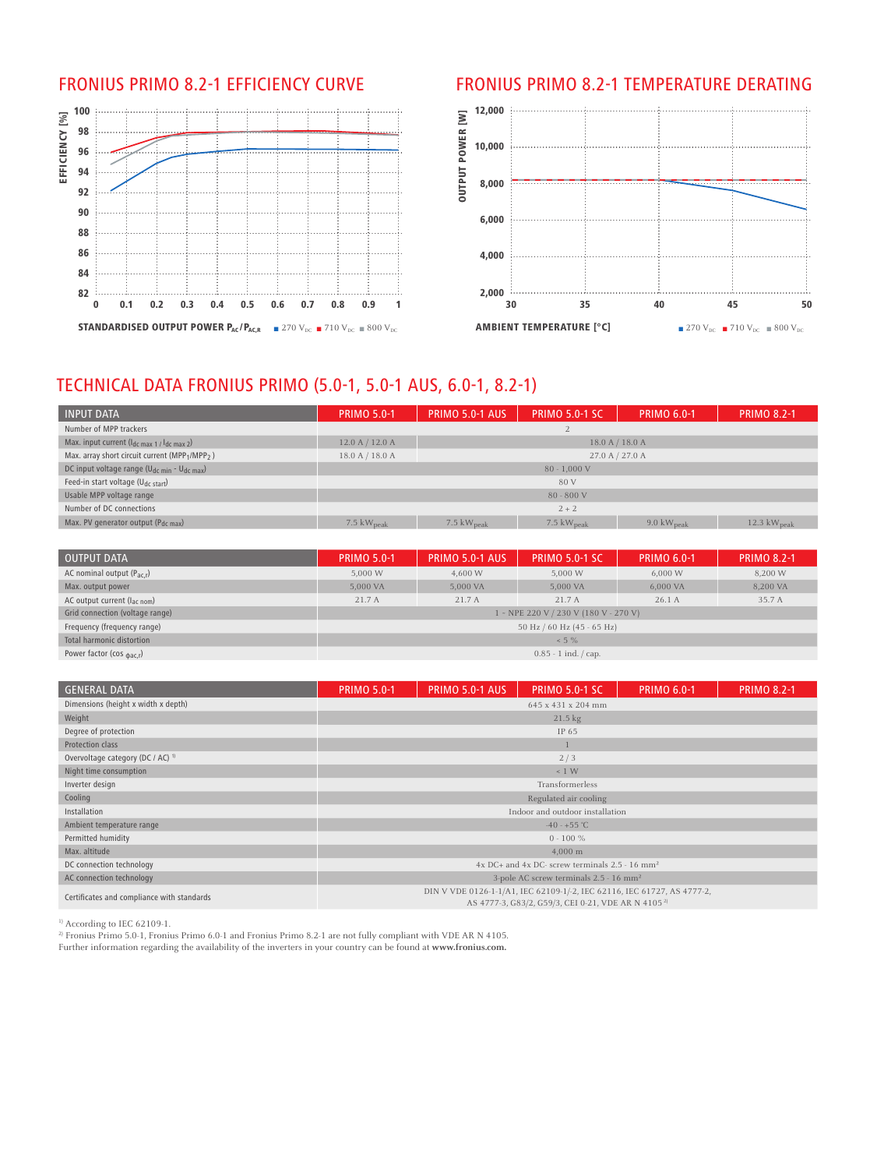

#### FRONIUS PRIMO 8.2-1 EFFICIENCY CURVE FRONIUS PRIMO 8.2-1 TEMPERATURE DERATING



## TECHNICAL DATA FRONIUS PRIMO (5.0-1, 5.0-1 AUS, 6.0-1, 8.2-1)

| <b>INPUT DATA</b>                                                      | <b>PRIMO 5.0-1</b>             | <b>PRIMO 5.0-1 AUS</b>         | <b>PRIMO 5.0-1 SC</b>  | <b>PRIMO 6.0-1</b>     | <b>PRIMO 8.2-1</b>      |
|------------------------------------------------------------------------|--------------------------------|--------------------------------|------------------------|------------------------|-------------------------|
| Number of MPP trackers                                                 |                                |                                |                        |                        |                         |
| Max. input current $(l_{dc \, max\ 1}/l_{dc \, max\ 2})$               | 12.0 A / 12.0 A                |                                | 18.0 A / 18.0 A        |                        |                         |
| Max. array short circuit current (MPP <sub>1</sub> /MPP <sub>2</sub> ) | 18.0 A / 18.0 A                |                                | 27.0 A / 27.0 A        |                        |                         |
| DC input voltage range (U <sub>dc min</sub> - U <sub>dc max</sub> )    |                                |                                | $80 - 1,000$ V         |                        |                         |
| Feed-in start voltage (U <sub>dc start</sub> )                         |                                |                                | 80 V                   |                        |                         |
| Usable MPP voltage range                                               |                                |                                | $80 - 800$ V           |                        |                         |
| Number of DC connections                                               |                                |                                | $2 + 2$                |                        |                         |
| Max. PV generator output $(P_{dc max})$                                | $7.5 \text{ kW}_{\text{peak}}$ | $7.5 \text{ kW}_{\text{peak}}$ | 7.5 $kW_{\text{peak}}$ | 9.0 $kW_{\text{peak}}$ | 12.3 $kW_{\text{peak}}$ |

| <b>OUTPUT DATA</b>                      | <b>PRIMO 5.0-1</b> | <b>PRIMO 5.0-1 AUS</b> | <b>PRIMO 5.0-1 SC</b>                             | <b>PRIMO 6.0-1</b> | <b>PRIMO 8.2-1</b> |
|-----------------------------------------|--------------------|------------------------|---------------------------------------------------|--------------------|--------------------|
| AC nominal output $(P_{\text{ac}})$     | 5,000 W            | 4,600 W                | 5,000 W                                           | 6,000W             | 8,200 W            |
| Max. output power                       | 5,000 VA           | 5.000 VA               | 5.000 VA                                          | 6.000 VA           | 8,200 VA           |
| AC output current $(l_{\text{ac nom}})$ | 21.7 A             | 21.7 A                 | 21.7A                                             | 26.1A              | 35.7 A             |
| Grid connection (voltage range)         |                    |                        | 1 - NPE 220 V / 230 V (180 V - 270 V)             |                    |                    |
| Frequency (frequency range)             |                    |                        | 50 Hz / 60 Hz (45 - 65 Hz)                        |                    |                    |
| Total harmonic distortion               |                    |                        | $< 5 \%$                                          |                    |                    |
| Power factor (cos $_{\text{dac,r}}$ )   |                    |                        | $0.85 - 1$ ind. $\frac{\text{cap.}}{\text{cap.}}$ |                    |                    |

| <b>GENERAL DATA</b>                          | <b>PRIMO 5.0-1</b> | <b>PRIMO 5.0-1 AUS</b> | <b>PRIMO 5.0-1 SC</b>                                                                                                                     | <b>PRIMO 6.0-1</b> | <b>PRIMO 8.2-1</b> |  |  |
|----------------------------------------------|--------------------|------------------------|-------------------------------------------------------------------------------------------------------------------------------------------|--------------------|--------------------|--|--|
| Dimensions (height x width x depth)          | 645 x 431 x 204 mm |                        |                                                                                                                                           |                    |                    |  |  |
| Weight                                       | $21.5 \text{ kg}$  |                        |                                                                                                                                           |                    |                    |  |  |
| Degree of protection                         | IP 65              |                        |                                                                                                                                           |                    |                    |  |  |
| Protection class                             |                    |                        |                                                                                                                                           |                    |                    |  |  |
| Overvoltage category (DC / AC) <sup>1)</sup> |                    |                        | 2/3                                                                                                                                       |                    |                    |  |  |
| Night time consumption                       |                    |                        | $\leq 1$ W                                                                                                                                |                    |                    |  |  |
| Inverter design                              |                    |                        | Transformerless                                                                                                                           |                    |                    |  |  |
| Cooling                                      |                    |                        | Regulated air cooling                                                                                                                     |                    |                    |  |  |
| Installation                                 |                    |                        | Indoor and outdoor installation                                                                                                           |                    |                    |  |  |
| Ambient temperature range                    |                    |                        | $-40 - +55$ °C                                                                                                                            |                    |                    |  |  |
| Permitted humidity                           |                    |                        | $0 - 100 \%$                                                                                                                              |                    |                    |  |  |
| Max. altitude                                |                    |                        | $4,000 \; \mathrm{m}$                                                                                                                     |                    |                    |  |  |
| DC connection technology                     |                    |                        | $4x$ DC+ and $4x$ DC- screw terminals $2.5 - 16$ mm <sup>2</sup>                                                                          |                    |                    |  |  |
| AC connection technology                     |                    |                        | 3-pole AC screw terminals 2.5 - 16 mm <sup>2</sup>                                                                                        |                    |                    |  |  |
| Certificates and compliance with standards   |                    |                        | DIN V VDE 0126-1-1/A1, IEC 62109-1/-2, IEC 62116, IEC 61727, AS 4777-2,<br>AS 4777-3, G83/2, G59/3, CEI 0-21, VDE AR N 4105 <sup>2)</sup> |                    |                    |  |  |

<sup>1)</sup> According to IEC 62109-1.

<sup>2)</sup> Fronius Primo 5.0-1, Fronius Primo 6.0-1 and Fronius Primo 8.2-1 are not fully compliant with VDE AR N 4105.

Further information regarding the availability of the inverters in your country can be found at **www.fronius.com.**